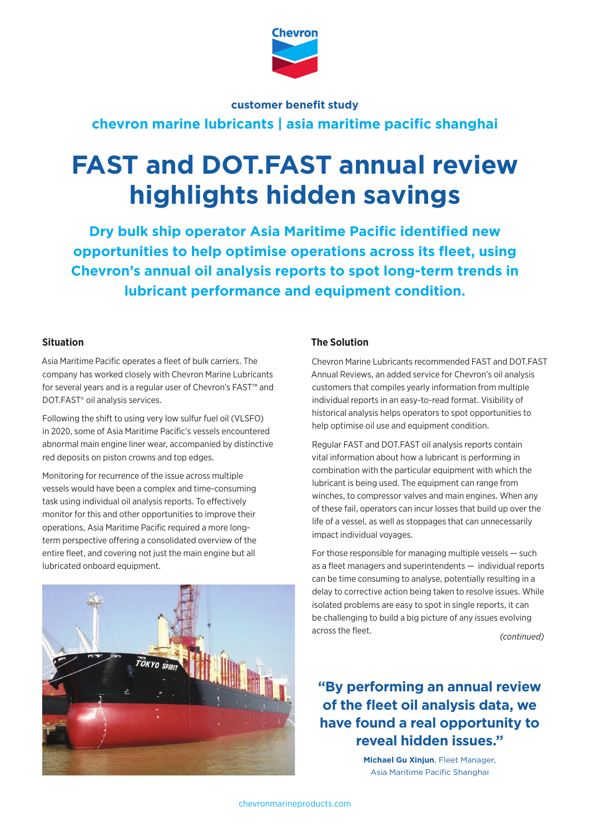

# **customer benefit study**

**chevron marine lubricants | asia maritime pacific shanghai**

# **FAST and DOT.FAST annual review highlights hidden savings**

**Dry bulk ship operator Asia Maritime Pacific identified new opportunities to help optimise operations across its fleet, using Chevron's annual oil analysis reports to spot long-term trends in lubricant performance and equipment condition.**

## **Situation**

Asia Maritime Pacific operates a fleet of bulk carriers. The company has worked closely with Chevron Marine Lubricants for several years and is a regular user of Chevron's FAST™ and DOT.FAST® oil analysis services.

Following the shift to using very low sulfur fuel oil (VLSFO) in 2020, some of Asia Maritime Pacific's vessels encountered abnormal main engine liner wear, accompanied by distinctive red deposits on piston crowns and top edges.

Monitoring for recurrence of the issue across multiple vessels would have been a complex and time-consuming task using individual oil analysis reports. To effectively monitor for this and other opportunities to improve their operations, Asia Maritime Pacific required a more longterm perspective offering a consolidated overview of the entire fleet, and covering not just the main engine but all lubricated onboard equipment.



## **The Solution**

Chevron Marine Lubricants recommended FAST and DOT.FAST Annual Reviews, an added service for Chevron's oil analysis customers that compiles yearly information from multiple individual reports in an easy-to-read format. Visibility of historical analysis helps operators to spot opportunities to help optimise oil use and equipment condition.

Regular FAST and DOT.FAST oil analysis reports contain vital information about how a lubricant is performing in combination with the particular equipment with which the lubricant is being used. The equipment can range from winches, to compressor valves and main engines. When any of these fail, operators can incur losses that build up over the life of a vessel, as well as stoppages that can unnecessarily impact individual voyages.

For those responsible for managing multiple vessels — such as a fleet managers and superintendents — individual reports can be time consuming to analyse, potentially resulting in a delay to corrective action being taken to resolve issues. While isolated problems are easy to spot in single reports, it can be challenging to build a big picture of any issues evolving across the fleet.

*(continued)*

# **"By performing an annual review of the fleet oil analysis data, we have found a real opportunity to reveal hidden issues."**

**Michael Gu Xinjun**, Fleet Manager, Asia Maritime Pacific Shanghai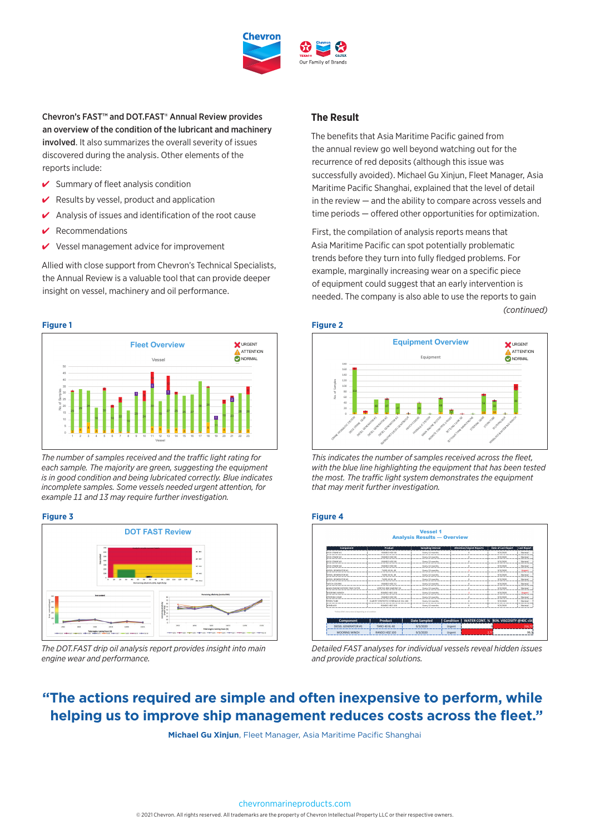

Chevron's FAST™ and DOT.FAST® Annual Review provides an overview of the condition of the lubricant and machinery involved. It also summarizes the overall severity of issues discovered during the analysis. Other elements of the reports include:

- $\checkmark$  Summary of fleet analysis condition
- Results by vessel, product and application
- Analysis of issues and identification of the root cause
- **Recommendations**
- Vessel management advice for improvement

Allied with close support from Chevron's Technical Specialists, the Annual Review is a valuable tool that can provide deeper insight on vessel, machinery and oil performance.

#### **Figure 1**



The number of samples received and the traffic light rating for *each sample. The majority are green, suggesting the equipment*  APPEARANCE Black Brown Black Black **Black** is in good condition and being lubricated correctly. Blue indicates **where**  $t$ incomplete samples. Some vessels needed urgent attention, for example 11 and 13 may require further investigation.

25.7 30.3 24.1 21.9 **23.6**

BASE NUMBER (D2896)

#### **Figure 3**



The DOT.FAST drip oil analysis report provides insight into main *engine wear and performance.*

### **The Result**

The benefits that Asia Maritime Pacific gained from the annual review go well beyond watching out for the recurrence of red deposits (although this issue was successfully avoided). Michael Gu Xinjun, Fleet Manager, Asia Maritime Pacific Shanghai, explained that the level of detail in the review — and the ability to compare across vessels and time periods — offered other opportunities for optimization.

First, the compilation of analysis reports means that Asia Maritime Pacific can spot potentially problematic trends before they turn into fully fledged problems. For example, marginally increasing wear on a specific piece of equipment could suggest that an early intervention is needed. The company is also able to use the reports to gain *(continued)*





This indicates the number of samples received across the fleet, *with the blue line highlighting the equipment that has been tested*  APPEARANCE Black Brown Black Black **Black** the most. The traffic light system demonstrates the equipment that may merit further investigation.

#### **Figure 4**

| Component                                                            | Product                             | Sampling Interval   |           | <b>Attention/Urgent Reports</b> | Date of Last Report                   | <b>Last Report</b> |  |
|----------------------------------------------------------------------|-------------------------------------|---------------------|-----------|---------------------------------|---------------------------------------|--------------------|--|
| DECK CRANE #1                                                        | RANDO HDZ 68                        | Every 12 months     |           |                                 | 9/3/2020                              | Normal             |  |
| DECK CRANE #2                                                        | RANDO HDZ 68                        | Every 12 months     |           |                                 | 9/3/2020                              | Normal             |  |
| DECK CRANE #3                                                        | RANDO HDZ 68                        | Every 12 months     |           | ö                               | 9/3/2020                              | Normal             |  |
| DECK CRANE #4                                                        | RANDO HDZ 68                        | Every 12 months     |           | o                               | 9/3/2020                              | Normal             |  |
| DIESEL GENERATOR #1                                                  | TARD 40 XL 40                       | Every 12 months     |           |                                 | 9/3/2020                              | Urgent             |  |
| DIESEL GENERATOR #2                                                  | TARD 40 XL 40                       | Every 12 months     |           | ö                               | 9/3/2020                              | Normal             |  |
| DIESEL GENERATOR #3                                                  | TARD 40 XL 40                       | Every 12 months     |           |                                 | 9/3/2020                              | Normal             |  |
| HATCH COVERS                                                         | RANDO HDZ 32                        | Every 12 months     |           |                                 | 9/3/2020                              | Normal             |  |
| MAIN ENGINE BEFORE FINE FILTER                                       | VERITAS 800 MARINE 30               | Every 12 months     |           |                                 | 9/3/2020                              | Normal             |  |
| MOORING WINCH                                                        | RANDO HDZ 100                       | Every 12 months     |           |                                 | 9/3/2020                              | Urgent             |  |
| <b>STEERING GEAR</b>                                                 | RANDO HDZ 68                        | Every 12 months     |           |                                 | 9/3/2020                              | Normal             |  |
| STERN TUBE                                                           | CLARITY SYNTHETIC HYDRAULIC OIL 100 | Every 12 months     |           | o                               | 9/3/2020                              | Normal             |  |
| <b>WINDLASS</b>                                                      | RANDO HDZ 100                       | Every 12 months     |           |                                 | 9/3/2020                              | Normal             |  |
| "Follow OEM"s instructions & Depending on oil condition<br>Component | Product                             | <b>Date Sampled</b> | Condition |                                 | WATER CONT. % KIN, VISCOSITY @40C cSt |                    |  |
| DIESEL GENERATOR #1                                                  | TARO 40 XL40                        | 9/3/2020            | Urgent    |                                 |                                       | 216.73             |  |
| <b>MOORING WINCH</b>                                                 | RANDO HDZ 100                       | 9/3/2020            | Urgent    |                                 | 2.7                                   | 99,3               |  |

*Detailed FAST analyses for individual vessels reveal hidden issues and provide practical solutions.* 

# **"The actions required are simple and often inexpensive to perform, while helping us to improve ship management reduces costs across the fleet."**

**Michael Gu Xinjun**, Fleet Manager, Asia Maritime Pacific Shanghai